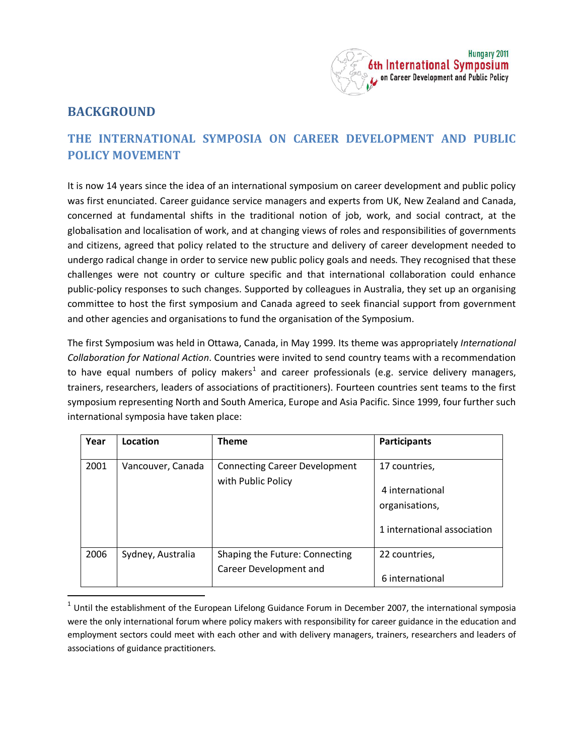

## **BACKGROUND**

## **THE INTERNATIONAL SYMPOSIA ON CAREER DEVELOPMENT AND PUBLIC POLICY MOVEMENT**

It is now 14 years since the idea of an international symposium on career development and public policy was first enunciated. Career guidance service managers and experts from UK, New Zealand and Canada, concerned at fundamental shifts in the traditional notion of job, work, and social contract, at the globalisation and localisation of work, and at changing views of roles and responsibilities of governments and citizens, agreed that policy related to the structure and delivery of career development needed to undergo radical change in order to service new public policy goals and needs. They recognised that these challenges were not country or culture specific and that international collaboration could enhance public-policy responses to such changes. Supported by colleagues in Australia, they set up an organising committee to host the first symposium and Canada agreed to seek financial support from government and other agencies and organisations to fund the organisation of the Symposium.

The first Symposium was held in Ottawa, Canada, in May 1999. Its theme was appropriately *International Collaboration for National Action*. Countries were invited to send country teams with a recommendation to have equal numbers of policy makers<sup>[1](#page-0-0)</sup> and career professionals (e.g. service delivery managers, trainers, researchers, leaders of associations of practitioners). Fourteen countries sent teams to the first symposium representing North and South America, Europe and Asia Pacific. Since 1999, four further such international symposia have taken place:

| Year | Location          | <b>Theme</b>                                               | Participants                                                                      |
|------|-------------------|------------------------------------------------------------|-----------------------------------------------------------------------------------|
| 2001 | Vancouver, Canada | <b>Connecting Career Development</b><br>with Public Policy | 17 countries,<br>4 international<br>organisations,<br>1 international association |
| 2006 | Sydney, Australia | Shaping the Future: Connecting<br>Career Development and   | 22 countries,<br>6 international                                                  |

<span id="page-0-1"></span><span id="page-0-0"></span> $1$  Until the establishment of the European Lifelong Guidance Forum in December 2007, the international symposia were the only international forum where policy makers with responsibility for career guidance in the education and employment sectors could meet with each other and with delivery managers, trainers, researchers and leaders of associations of guidance practitioners.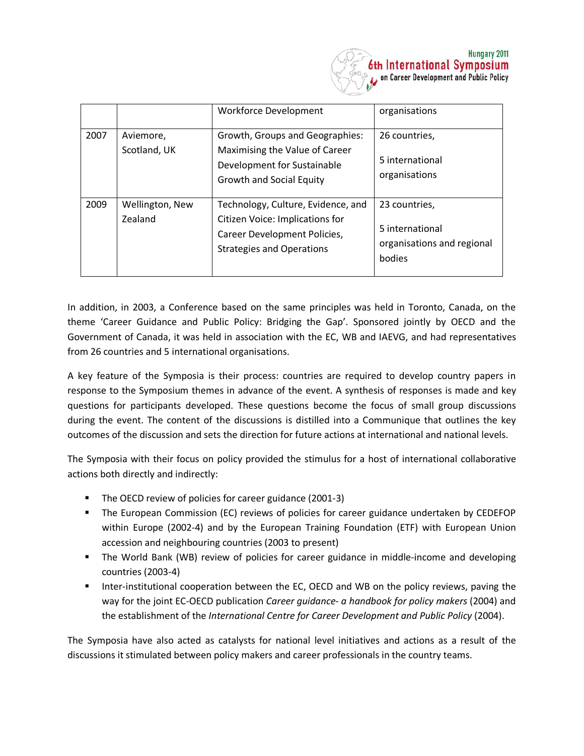

|      |                            | <b>Workforce Development</b>                                                                                                              | organisations                                                            |
|------|----------------------------|-------------------------------------------------------------------------------------------------------------------------------------------|--------------------------------------------------------------------------|
| 2007 | Aviemore,<br>Scotland, UK  | Growth, Groups and Geographies:<br>Maximising the Value of Career<br>Development for Sustainable<br>Growth and Social Equity              | 26 countries,<br>5 international<br>organisations                        |
| 2009 | Wellington, New<br>Zealand | Technology, Culture, Evidence, and<br>Citizen Voice: Implications for<br>Career Development Policies,<br><b>Strategies and Operations</b> | 23 countries,<br>5 international<br>organisations and regional<br>bodies |

In addition, in 2003, a Conference based on the same principles was held in Toronto, Canada, on the theme 'Career Guidance and Public Policy: Bridging the Gap'. Sponsored jointly by OECD and the Government of Canada, it was held in association with the EC, WB and IAEVG, and had representatives from 26 countries and 5 international organisations.

A key feature of the Symposia is their process: countries are required to develop country papers in response to the Symposium themes in advance of the event. A synthesis of responses is made and key questions for participants developed. These questions become the focus of small group discussions during the event. The content of the discussions is distilled into a Communique that outlines the key outcomes of the discussion and sets the direction for future actions at international and national levels.

The Symposia with their focus on policy provided the stimulus for a host of international collaborative actions both directly and indirectly:

- The OECD review of policies for career guidance (2001-3)
- The European Commission (EC) reviews of policies for career guidance undertaken by CEDEFOP within Europe (2002-4) and by the European Training Foundation (ETF) with European Union accession and neighbouring countries (2003 to present)
- The World Bank (WB) review of policies for career guidance in middle-income and developing countries (2003-4)
- Inter-institutional cooperation between the EC, OECD and WB on the policy reviews, paving the way for the joint EC-OECD publication *Career guidance- a handbook for policy makers* (2004) and the establishment of the *International Centre for Career Development and Public Policy* (2004).

The Symposia have also acted as catalysts for national level initiatives and actions as a result of the discussions it stimulated between policy makers and career professionals in the country teams.